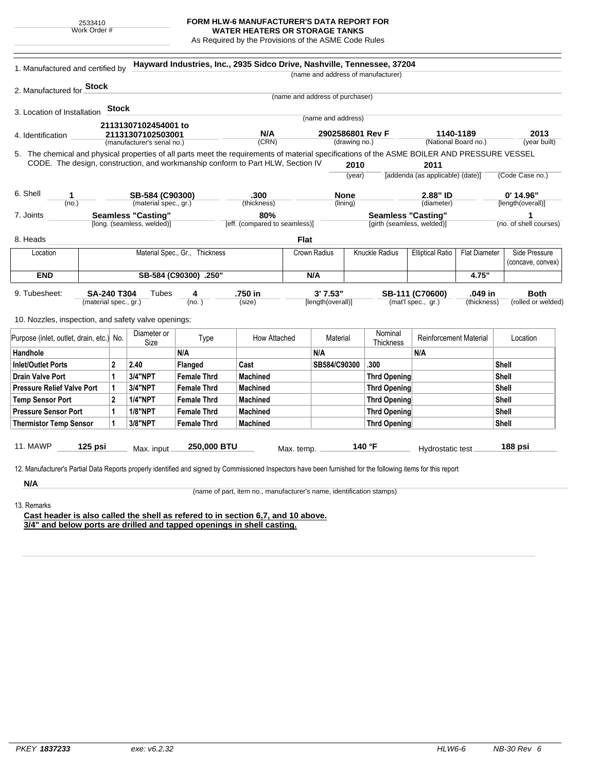2533410 Work Order #

## **FORM HLW-6 MANUFACTURER'S DATA REPORT FOR**

**WATER HEATERS OR STORAGE TANKS** As Required by the Provisions of the ASME Code Rules

| 1. Manufactured and certified by                                                                                                                              |                                                                          |              |                            |                      | Hayward Industries, Inc., 2935 Sidco Drive, Nashville, Tennessee, 37204 |                                   |                                 |                                                 | (name and address of manufacturer) |                                    |                   |                        |
|---------------------------------------------------------------------------------------------------------------------------------------------------------------|--------------------------------------------------------------------------|--------------|----------------------------|----------------------|-------------------------------------------------------------------------|-----------------------------------|---------------------------------|-------------------------------------------------|------------------------------------|------------------------------------|-------------------|------------------------|
| 2. Manufactured for <b>Stock</b>                                                                                                                              |                                                                          |              |                            |                      |                                                                         |                                   |                                 |                                                 |                                    |                                    |                   |                        |
|                                                                                                                                                               |                                                                          |              |                            |                      |                                                                         |                                   | (name and address of purchaser) |                                                 |                                    |                                    |                   |                        |
| 3. Location of Installation                                                                                                                                   |                                                                          | <b>Stock</b> |                            |                      |                                                                         |                                   |                                 |                                                 |                                    |                                    |                   |                        |
|                                                                                                                                                               |                                                                          |              |                            |                      |                                                                         |                                   | (name and address)              |                                                 |                                    |                                    |                   |                        |
| 4. Identification                                                                                                                                             | 21131307102454001 to<br>21131307102503001<br>(manufacturer's serial no.) |              |                            |                      | N/A<br>(CRN)                                                            | 2902586801 Rev F<br>(drawing no.) |                                 | 1140-1189<br>(National Board no.)               |                                    | 2013<br>(year built)               |                   |                        |
| 5. The chemical and physical properties of all parts meet the requirements of material specifications of the ASME BOILER AND PRESSURE VESSEL                  |                                                                          |              |                            |                      |                                                                         |                                   |                                 |                                                 |                                    |                                    |                   |                        |
| CODE. The design, construction, and workmanship conform to Part HLW, Section IV                                                                               |                                                                          |              |                            |                      |                                                                         |                                   |                                 | 2010                                            |                                    | 2011                               |                   |                        |
|                                                                                                                                                               |                                                                          |              |                            |                      |                                                                         |                                   |                                 | (vear)                                          |                                    | [addenda (as applicable) (date)]   |                   | (Code Case no.)        |
| 6. Shell<br>1                                                                                                                                                 | SB-584 (C90300)                                                          |              |                            | .300                 |                                                                         |                                   | <b>None</b>                     |                                                 |                                    | 2.88" ID                           |                   | $0'$ 14.96"            |
| (no.)                                                                                                                                                         | (material spec., gr.)                                                    |              |                            |                      | (thickness)                                                             | (lining)                          |                                 |                                                 | (diameter)                         |                                    | [length(overall)] |                        |
| 7. Joints                                                                                                                                                     |                                                                          |              | <b>Seamless "Casting"</b>  |                      | 80%                                                                     |                                   |                                 |                                                 | <b>Seamless "Casting"</b>          |                                    |                   | 1                      |
|                                                                                                                                                               |                                                                          |              | [long. (seamless, welded)] |                      | [eff. (compared to seamless)]                                           |                                   |                                 |                                                 | [girth (seamless, welded)]         |                                    |                   | (no. of shell courses) |
| 8. Heads                                                                                                                                                      |                                                                          |              |                            |                      |                                                                         | <b>Flat</b>                       |                                 |                                                 |                                    |                                    |                   |                        |
| Location                                                                                                                                                      | Material Spec., Gr., Thickness                                           |              |                            |                      | <b>Crown Radius</b>                                                     |                                   | Knuckle Radius                  | <b>Elliptical Ratio</b><br><b>Flat Diameter</b> |                                    | Side Pressure<br>(concave, convex) |                   |                        |
| <b>END</b>                                                                                                                                                    | SB-584 (C90300) .250"                                                    |              |                            |                      |                                                                         | N/A                               |                                 |                                                 |                                    | 4.75"                              |                   |                        |
| 9. Tubesheet:                                                                                                                                                 | <b>SA-240 T304</b>                                                       |              | Tubes                      | 4                    | .750 in                                                                 |                                   | 3'7.53"                         |                                                 |                                    | SB-111 (C70600)                    | .049 in           | <b>Both</b>            |
|                                                                                                                                                               | (material spec., gr.)                                                    |              |                            | (no.)                | (size)                                                                  |                                   | [length(overall)]               |                                                 |                                    | (mat'l spec., gr.)                 | (thickness)       | (rolled or welded)     |
| 10. Nozzles, inspection, and safety valve openings:                                                                                                           |                                                                          |              |                            |                      |                                                                         |                                   |                                 |                                                 |                                    |                                    |                   |                        |
| Purpose (inlet, outlet, drain, etc.) No.                                                                                                                      |                                                                          |              | Diameter or<br>Size        | Type                 | How Attached                                                            |                                   | Material                        |                                                 | Nominal<br>Thickness               | <b>Reinforcement Material</b>      |                   | Location               |
| Handhole                                                                                                                                                      |                                                                          |              |                            | N/A                  |                                                                         |                                   | N/A                             |                                                 |                                    | N/A                                |                   |                        |
| <b>Inlet/Outlet Ports</b>                                                                                                                                     | $\overline{2}$                                                           |              | 2.40                       | <b>Flanged</b>       | Cast                                                                    |                                   | SB584/C90300                    |                                                 | .300                               |                                    |                   | Shell                  |
| <b>Drain Valve Port</b>                                                                                                                                       | 1                                                                        |              | 3/4"NPT                    | <b>Female Thrd</b>   | <b>Machined</b>                                                         |                                   |                                 |                                                 | <b>Thrd Opening</b>                |                                    |                   | <b>Shell</b>           |
| <b>Pressure Relief Valve Port</b>                                                                                                                             | 1                                                                        |              | 3/4"NPT                    | <b>Female Thrd</b>   | <b>Machined</b>                                                         |                                   |                                 |                                                 | <b>Thrd Opening</b>                |                                    |                   | Shell                  |
| <b>Temp Sensor Port</b>                                                                                                                                       | $\mathbf{2}$                                                             |              | <b>1/4"NPT</b>             | <b>Female Thrd</b>   | <b>Machined</b>                                                         |                                   |                                 |                                                 | <b>Thrd Opening</b>                |                                    |                   | Shell                  |
| <b>Pressure Sensor Port</b>                                                                                                                                   |                                                                          |              | <b>1/8"NPT</b>             | <b>Female Thrd</b>   | <b>Machined</b>                                                         |                                   |                                 |                                                 | <b>Thrd Opening</b>                |                                    |                   | Shell                  |
| <b>Thermistor Temp Sensor</b>                                                                                                                                 | 1                                                                        |              | 3/8"NPT                    | <b>Female Thrd</b>   | <b>Machined</b>                                                         |                                   |                                 |                                                 | <b>Thrd Opening</b>                |                                    |                   | Shell                  |
|                                                                                                                                                               |                                                                          |              |                            |                      |                                                                         |                                   |                                 |                                                 |                                    |                                    |                   |                        |
| 11. MAWP<br>$125$ psi<br>Max. input                                                                                                                           |                                                                          | 250,000 BTU  |                            | 140 °F<br>Max. temp. |                                                                         |                                   | Hydrostatic test                |                                                 | 188 psi                            |                                    |                   |                        |
| 12. Manufacturer's Partial Data Reports properly identified and signed by Commissioned Inspectors have been furnished for the following items for this report |                                                                          |              |                            |                      |                                                                         |                                   |                                 |                                                 |                                    |                                    |                   |                        |
|                                                                                                                                                               |                                                                          |              |                            |                      |                                                                         |                                   |                                 |                                                 |                                    |                                    |                   |                        |
|                                                                                                                                                               |                                                                          |              |                            |                      |                                                                         |                                   |                                 |                                                 |                                    |                                    |                   |                        |
| N/A                                                                                                                                                           |                                                                          |              |                            |                      |                                                                         |                                   |                                 |                                                 |                                    |                                    |                   |                        |
| 13. Remarks                                                                                                                                                   |                                                                          |              |                            |                      | (name of part, item no., manufacturer's name, identification stamps)    |                                   |                                 |                                                 |                                    |                                    |                   |                        |

**Cast header is also called the shell as refered to in section 6,7, and 10 above. 3/4" and below ports are drilled and tapped openings in shell casting.**